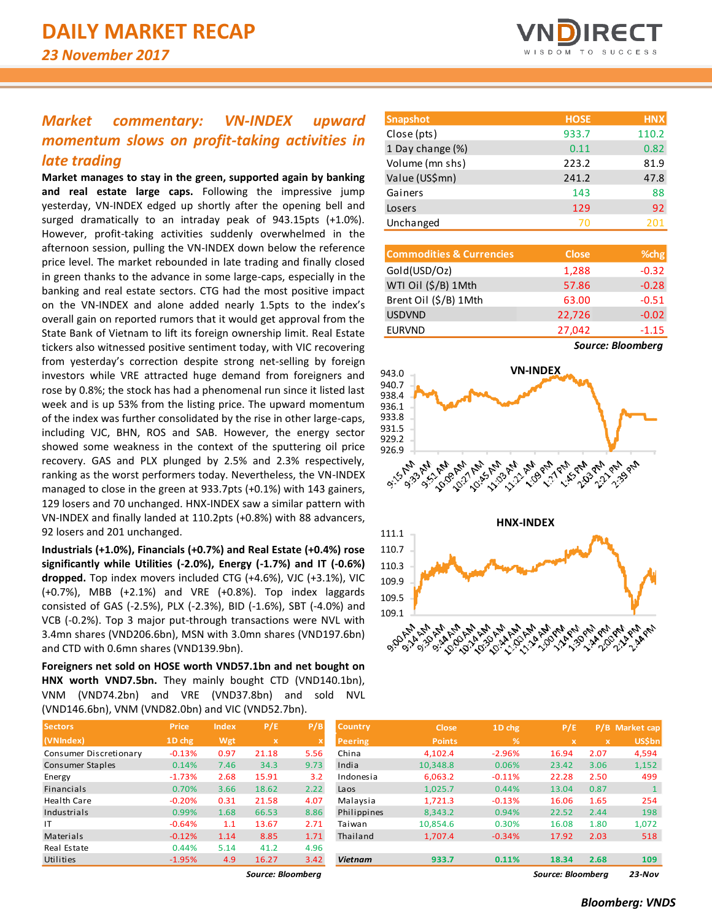## *Market commentary: VN-INDEX upward momentum slows on profit-taking activities in late trading*

**Market manages to stay in the green, supported again by banking and real estate large caps.** Following the impressive jump yesterday, VN-INDEX edged up shortly after the opening bell and surged dramatically to an intraday peak of 943.15pts (+1.0%). However, profit-taking activities suddenly overwhelmed in the afternoon session, pulling the VN-INDEX down below the reference price level. The market rebounded in late trading and finally closed in green thanks to the advance in some large-caps, especially in the banking and real estate sectors. CTG had the most positive impact on the VN-INDEX and alone added nearly 1.5pts to the index's overall gain on reported rumors that it would get approval from the State Bank of Vietnam to lift its foreign ownership limit. Real Estate tickers also witnessed positive sentiment today, with VIC recovering from yesterday's correction despite strong net-selling by foreign investors while VRE attracted huge demand from foreigners and rose by 0.8%; the stock has had a phenomenal run since it listed last week and is up 53% from the listing price. The upward momentum of the index was further consolidated by the rise in other large-caps, including VJC, BHN, ROS and SAB. However, the energy sector showed some weakness in the context of the sputtering oil price recovery. GAS and PLX plunged by 2.5% and 2.3% respectively, ranking as the worst performers today. Nevertheless, the VN-INDEX managed to close in the green at 933.7pts (+0.1%) with 143 gainers, 129 losers and 70 unchanged. HNX-INDEX saw a similar pattern with VN-INDEX and finally landed at 110.2pts (+0.8%) with 88 advancers, 92 losers and 201 unchanged.

**Industrials (+1.0%), Financials (+0.7%) and Real Estate (+0.4%) rose significantly while Utilities (-2.0%), Energy (-1.7%) and IT (-0.6%) dropped.** Top index movers included CTG (+4.6%), VJC (+3.1%), VIC (+0.7%), MBB (+2.1%) and VRE (+0.8%). Top index laggards consisted of GAS (-2.5%), PLX (-2.3%), BID (-1.6%), SBT (-4.0%) and VCB (-0.2%). Top 3 major put-through transactions were NVL with 3.4mn shares (VND206.6bn), MSN with 3.0mn shares (VND197.6bn) and CTD with 0.6mn shares (VND139.9bn).

**Foreigners net sold on HOSE worth VND57.1bn and net bought on HNX worth VND7.5bn.** They mainly bought CTD (VND140.1bn), VNM (VND74.2bn) and VRE (VND37.8bn) and sold NVL (VND146.6bn), VNM (VND82.0bn) and VIC (VND52.7bn).

| <b>Sectors</b>         | Price.   | <b>Index</b> | P/E         | P/B                       |
|------------------------|----------|--------------|-------------|---------------------------|
| (VNIndex)              | 1D chg   | Wgt          | $\mathbf x$ | $\boldsymbol{\mathsf{x}}$ |
| Consumer Discretionary | $-0.13%$ | 0.97         | 21.18       | 5.56                      |
| Consumer Staples       | 0.14%    | 7.46         | 34.3        | 9.73                      |
| Energy                 | $-1.73%$ | 2.68         | 15.91       | 3.2                       |
| Financials             | 0.70%    | 3.66         | 18.62       | 2.22                      |
| <b>Health Care</b>     | $-0.20%$ | 0.31         | 21.58       | 4.07                      |
| Industrials            | 0.99%    | 1.68         | 66.53       | 8.86                      |
| IΤ                     | $-0.64%$ | 1.1          | 13.67       | 2.71                      |
| Materials              | $-0.12%$ | 1.14         | 8.85        | 1.71                      |
| Real Estate            | 0.44%    | 5.14         | 41.2        | 4.96                      |
| Utilities              | $-1.95%$ | 4.9          | 16.27       | 3.42                      |



| <b>Snapshot</b>  | <b>HOSE</b> | <b>HNX</b> |
|------------------|-------------|------------|
| Close (pts)      | 933.7       | 110.2      |
| 1 Day change (%) | 0.11        | 0.82       |
| Volume (mn shs)  | 223.2       | 81.9       |
| Value (US\$mn)   | 241.2       | 47.8       |
| Gainers          | 143         | 88         |
| Losers           | 129         | 92         |
| Unchanged        | 70          | 201        |

| <b>Commodities &amp; Currencies</b> | <b>Close</b> | % <sub>chg</sub> |
|-------------------------------------|--------------|------------------|
| Gold(USD/Oz)                        | 1,288        | $-0.32$          |
| WTI Oil (\$/B) 1Mth                 | 57.86        | $-0.28$          |
| Brent Oil (\$/B) 1Mth               | 63.00        | $-0.51$          |
| <b>USDVND</b>                       | 22,726       | $-0.02$          |
| <b>EURVND</b>                       | 27,042       | $-1.15$          |

*Source: Bloomberg*



| <b>Sectors</b>         | <b>Price</b> | <b>Index</b> | P/E         | P/B  | <b>Country</b> | <b>Close</b>  | 1D chg        | P/E   |             | P/B Market cap |
|------------------------|--------------|--------------|-------------|------|----------------|---------------|---------------|-------|-------------|----------------|
| (VNIndex)              | 1D chg       | Wgt          | $\mathbf x$ |      | <b>Peering</b> | <b>Points</b> | $\mathcal{A}$ | x     | $\mathbf x$ | <b>US\$bn</b>  |
| Consumer Discretionary | $-0.13%$     | 0.97         | 21.18       | 5.56 | China          | 4,102.4       | $-2.96%$      | 16.94 | 2.07        | 4,594          |
| Consumer Staples       | 0.14%        | 7.46         | 34.3        | 9.73 | India          | 10,348.8      | 0.06%         | 23.42 | 3.06        | 1,152          |
| Energy                 | $-1.73%$     | 2.68         | 15.91       | 3.2  | Indonesia      | 6,063.2       | $-0.11%$      | 22.28 | 2.50        | 499            |
| Financials             | 0.70%        | 3.66         | 18.62       | 2.22 | Laos           | 1,025.7       | 0.44%         | 13.04 | 0.87        |                |
| Health Care            | $-0.20%$     | 0.31         | 21.58       | 4.07 | Malaysia       | 1,721.3       | $-0.13%$      | 16.06 | 1.65        | 254            |
| Industrials            | 0.99%        | 1.68         | 66.53       | 8.86 | Philippines    | 8.343.2       | 0.94%         | 22.52 | 2.44        | 198            |
|                        | $-0.64%$     | 1.1          | 13.67       | 2.71 | Taiwan         | 10.854.6      | 0.30%         | 16.08 | 1.80        | 1,072          |
| Materials              | $-0.12%$     | 1.14         | 8.85        | 1.71 | Thailand       | 1.707.4       | $-0.34%$      | 17.92 | 2.03        | 518            |
| Real Estate            | 0.44%        | 5.14         | 41.2        | 4.96 |                |               |               |       |             |                |
| Utilities              | $-1.95%$     | 4.9          | 16.27       | 3.42 | <b>Vietnam</b> | 933.7         | 0.11%         | 18.34 | 2.68        | 109            |

*Source: Bloomberg Source: Bloomberg 23-Nov*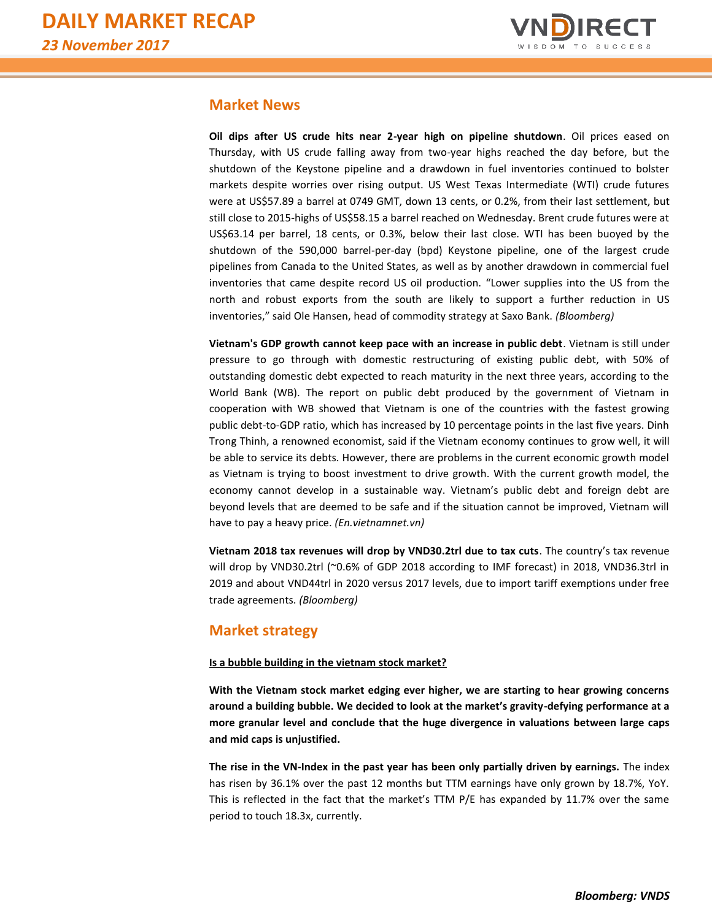

## **Market News**

**Oil dips after US crude hits near 2-year high on pipeline shutdown**. Oil prices eased on Thursday, with US crude falling away from two-year highs reached the day before, but the shutdown of the Keystone pipeline and a drawdown in fuel inventories continued to bolster markets despite worries over rising output. US West Texas Intermediate (WTI) crude futures were at US\$57.89 a barrel at 0749 GMT, down 13 cents, or 0.2%, from their last settlement, but still close to 2015-highs of US\$58.15 a barrel reached on Wednesday. Brent crude futures were at US\$63.14 per barrel, 18 cents, or 0.3%, below their last close. WTI has been buoyed by the shutdown of the 590,000 barrel-per-day (bpd) Keystone pipeline, one of the largest crude pipelines from Canada to the United States, as well as by another drawdown in commercial fuel inventories that came despite record US oil production. "Lower supplies into the US from the north and robust exports from the south are likely to support a further reduction in US inventories," said Ole Hansen, head of commodity strategy at Saxo Bank. *(Bloomberg)*

**Vietnam's GDP growth cannot keep pace with an increase in public debt**. Vietnam is still under pressure to go through with domestic restructuring of existing public debt, with 50% of outstanding domestic debt expected to reach maturity in the next three years, according to the World Bank (WB). The report on public debt produced by the government of Vietnam in cooperation with WB showed that Vietnam is one of the countries with the fastest growing public debt-to-GDP ratio, which has increased by 10 percentage points in the last five years. Dinh Trong Thinh, a renowned economist, said if the Vietnam economy continues to grow well, it will be able to service its debts. However, there are problems in the current economic growth model as Vietnam is trying to boost investment to drive growth. With the current growth model, the economy cannot develop in a sustainable way. Vietnam's public debt and foreign debt are beyond levels that are deemed to be safe and if the situation cannot be improved, Vietnam will have to pay a heavy price. *(En.vietnamnet.vn)*

**Vietnam 2018 tax revenues will drop by VND30.2trl due to tax cuts**. The country's tax revenue will drop by VND30.2trl (~0.6% of GDP 2018 according to IMF forecast) in 2018, VND36.3trl in 2019 and about VND44trl in 2020 versus 2017 levels, due to import tariff exemptions under free trade agreements. *(Bloomberg)*

## **Market strategy**

## **Is a bubble building in the vietnam stock market?**

**With the Vietnam stock market edging ever higher, we are starting to hear growing concerns around a building bubble. We decided to look at the market's gravity-defying performance at a more granular level and conclude that the huge divergence in valuations between large caps and mid caps is unjustified.** 

**The rise in the VN-Index in the past year has been only partially driven by earnings.** The index has risen by 36.1% over the past 12 months but TTM earnings have only grown by 18.7%, YoY. This is reflected in the fact that the market's TTM P/E has expanded by 11.7% over the same period to touch 18.3x, currently.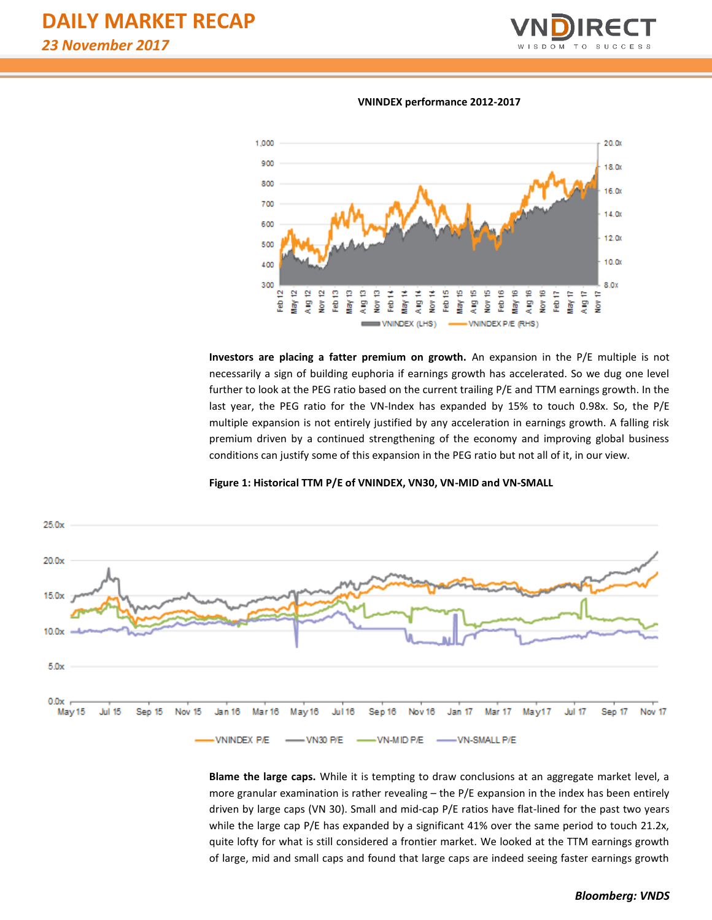

#### **VNINDEX performance 2012-2017**



**Investors are placing a fatter premium on growth.** An expansion in the P/E multiple is not necessarily a sign of building euphoria if earnings growth has accelerated. So we dug one level further to look at the PEG ratio based on the current trailing P/E and TTM earnings growth. In the last year, the PEG ratio for the VN-Index has expanded by 15% to touch 0.98x. So, the P/E multiple expansion is not entirely justified by any acceleration in earnings growth. A falling risk premium driven by a continued strengthening of the economy and improving global business conditions can justify some of this expansion in the PEG ratio but not all of it, in our view.





**Blame the large caps.** While it is tempting to draw conclusions at an aggregate market level, a more granular examination is rather revealing – the P/E expansion in the index has been entirely driven by large caps (VN 30). Small and mid-cap P/E ratios have flat-lined for the past two years while the large cap P/E has expanded by a significant 41% over the same period to touch 21.2x, quite lofty for what is still considered a frontier market. We looked at the TTM earnings growth of large, mid and small caps and found that large caps are indeed seeing faster earnings growth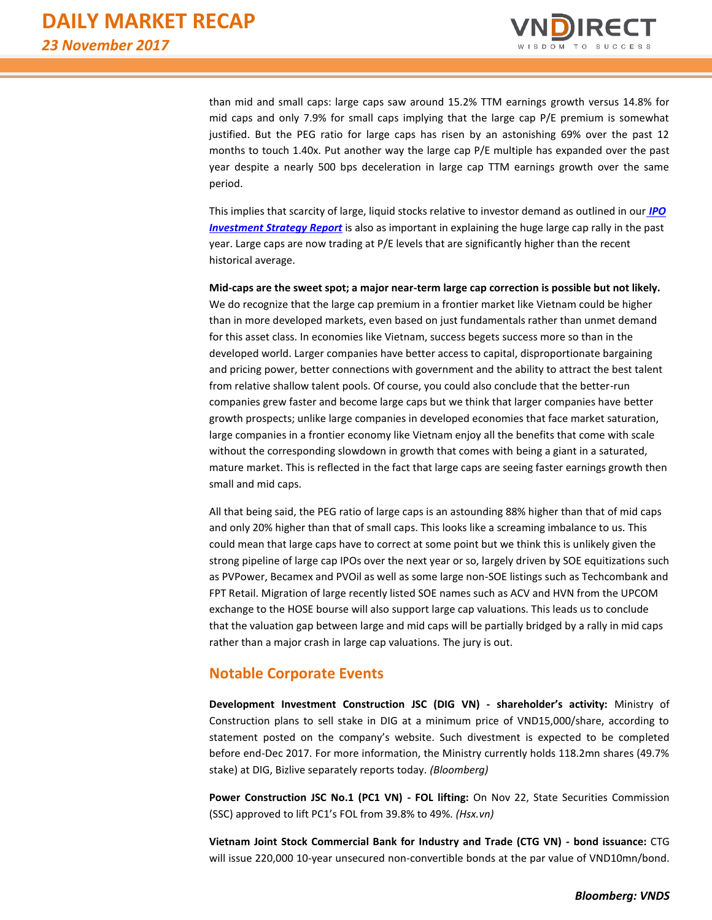

than mid and small caps: large caps saw around 15.2% TTM earnings growth versus 14.8% for mid caps and only 7.9% for small caps implying that the large cap P/E premium is somewhat justified. But the PEG ratio for large caps has risen by an astonishing 69% over the past 12 months to touch 1.40x. Put another way the large cap P/E multiple has expanded over the past year despite a nearly 500 bps deceleration in large cap TTM earnings growth over the same period.

This implies that scarcity of large, liquid stocks relative to investor demand as outlined in our *[IPO](https://static-02.vndirect.com.vn/uploads/prod/IPOScoreNote_20171114.pdf)  [Investment Strategy Report](https://static-02.vndirect.com.vn/uploads/prod/IPOScoreNote_20171114.pdf)* is also as important in explaining the huge large cap rally in the past year. Large caps are now trading at P/E levels that are significantly higher than the recent historical average.

**Mid-caps are the sweet spot; a major near-term large cap correction is possible but not likely.** We do recognize that the large cap premium in a frontier market like Vietnam could be higher than in more developed markets, even based on just fundamentals rather than unmet demand for this asset class. In economies like Vietnam, success begets success more so than in the developed world. Larger companies have better access to capital, disproportionate bargaining and pricing power, better connections with government and the ability to attract the best talent from relative shallow talent pools. Of course, you could also conclude that the better-run companies grew faster and become large caps but we think that larger companies have better growth prospects; unlike large companies in developed economies that face market saturation, large companies in a frontier economy like Vietnam enjoy all the benefits that come with scale without the corresponding slowdown in growth that comes with being a giant in a saturated, mature market. This is reflected in the fact that large caps are seeing faster earnings growth then small and mid caps.

All that being said, the PEG ratio of large caps is an astounding 88% higher than that of mid caps and only 20% higher than that of small caps. This looks like a screaming imbalance to us. This could mean that large caps have to correct at some point but we think this is unlikely given the strong pipeline of large cap IPOs over the next year or so, largely driven by SOE equitizations such as PVPower, Becamex and PVOil as well as some large non-SOE listings such as Techcombank and FPT Retail. Migration of large recently listed SOE names such as ACV and HVN from the UPCOM exchange to the HOSE bourse will also support large cap valuations. This leads us to conclude that the valuation gap between large and mid caps will be partially bridged by a rally in mid caps rather than a major crash in large cap valuations. The jury is out.

## **Notable Corporate Events**

**Development Investment Construction JSC (DIG VN) - shareholder's activity:** Ministry of Construction plans to sell stake in DIG at a minimum price of VND15,000/share, according to statement posted on the company's website. Such divestment is expected to be completed before end-Dec 2017. For more information, the Ministry currently holds 118.2mn shares (49.7% stake) at DIG, Bizlive separately reports today. *(Bloomberg)*

**Power Construction JSC No.1 (PC1 VN) - FOL lifting:** On Nov 22, State Securities Commission (SSC) approved to lift PC1's FOL from 39.8% to 49%. *(Hsx.vn)* 

**Vietnam Joint Stock Commercial Bank for Industry and Trade (CTG VN) - bond issuance:** CTG will issue 220,000 10-year unsecured non-convertible bonds at the par value of VND10mn/bond.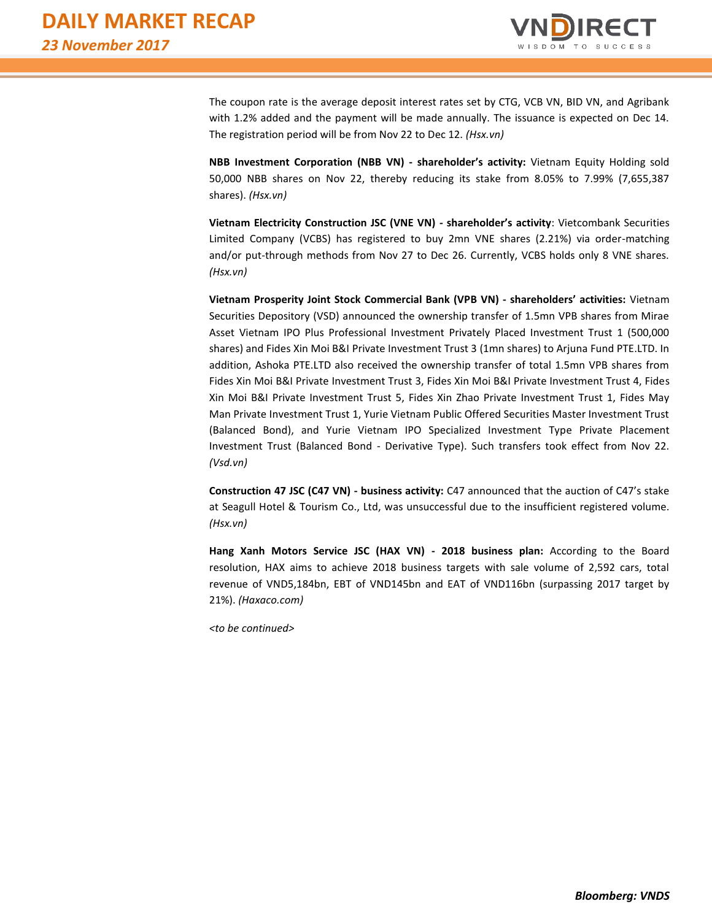

The coupon rate is the average deposit interest rates set by CTG, VCB VN, BID VN, and Agribank with 1.2% added and the payment will be made annually. The issuance is expected on Dec 14. The registration period will be from Nov 22 to Dec 12. *(Hsx.vn)*

**NBB Investment Corporation (NBB VN) - shareholder's activity:** Vietnam Equity Holding sold 50,000 NBB shares on Nov 22, thereby reducing its stake from 8.05% to 7.99% (7,655,387 shares). *(Hsx.vn)*

**Vietnam Electricity Construction JSC (VNE VN) - shareholder's activity**: Vietcombank Securities Limited Company (VCBS) has registered to buy 2mn VNE shares (2.21%) via order-matching and/or put-through methods from Nov 27 to Dec 26. Currently, VCBS holds only 8 VNE shares. *(Hsx.vn)*

**Vietnam Prosperity Joint Stock Commercial Bank (VPB VN) - shareholders' activities:** Vietnam Securities Depository (VSD) announced the ownership transfer of 1.5mn VPB shares from Mirae Asset Vietnam IPO Plus Professional Investment Privately Placed Investment Trust 1 (500,000 shares) and Fides Xin Moi B&I Private Investment Trust 3 (1mn shares) to Arjuna Fund PTE.LTD. In addition, Ashoka PTE.LTD also received the ownership transfer of total 1.5mn VPB shares from Fides Xin Moi B&I Private Investment Trust 3, Fides Xin Moi B&I Private Investment Trust 4, Fides Xin Moi B&I Private Investment Trust 5, Fides Xin Zhao Private Investment Trust 1, Fides May Man Private Investment Trust 1, Yurie Vietnam Public Offered Securities Master Investment Trust (Balanced Bond), and Yurie Vietnam IPO Specialized Investment Type Private Placement Investment Trust (Balanced Bond - Derivative Type). Such transfers took effect from Nov 22. *(Vsd.vn)*

**Construction 47 JSC (C47 VN) - business activity:** C47 announced that the auction of C47's stake at Seagull Hotel & Tourism Co., Ltd, was unsuccessful due to the insufficient registered volume. *(Hsx.vn)*

**Hang Xanh Motors Service JSC (HAX VN) - 2018 business plan:** According to the Board resolution, HAX aims to achieve 2018 business targets with sale volume of 2,592 cars, total revenue of VND5,184bn, EBT of VND145bn and EAT of VND116bn (surpassing 2017 target by 21%). *(Haxaco.com)*

*<to be continued>*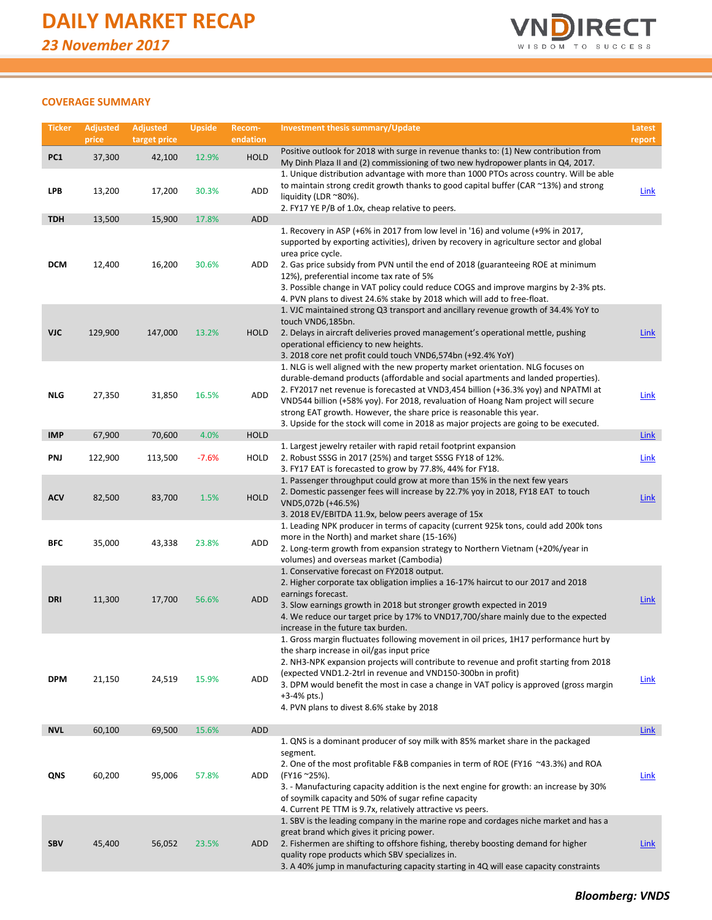

## **COVERAGE SUMMARY**

| <b>Ticker</b>   | <b>Adjusted</b><br>price | <b>Adjusted</b><br>target price | <b>Upside</b> | Recom-<br>endation | Investment thesis summary/Update                                                                                                                                                                                                                                                                                                                                                                                                                                                                                 | Latest<br>report |
|-----------------|--------------------------|---------------------------------|---------------|--------------------|------------------------------------------------------------------------------------------------------------------------------------------------------------------------------------------------------------------------------------------------------------------------------------------------------------------------------------------------------------------------------------------------------------------------------------------------------------------------------------------------------------------|------------------|
| PC <sub>1</sub> | 37,300                   | 42,100                          | 12.9%         | <b>HOLD</b>        | Positive outlook for 2018 with surge in revenue thanks to: (1) New contribution from<br>My Dinh Plaza II and (2) commissioning of two new hydropower plants in Q4, 2017.                                                                                                                                                                                                                                                                                                                                         |                  |
| LPB             | 13,200                   | 17,200                          | 30.3%         | ADD                | 1. Unique distribution advantage with more than 1000 PTOs across country. Will be able<br>to maintain strong credit growth thanks to good capital buffer (CAR ~13%) and strong<br>liquidity (LDR ~80%).<br>2. FY17 YE P/B of 1.0x, cheap relative to peers.                                                                                                                                                                                                                                                      | <b>Link</b>      |
| <b>TDH</b>      | 13,500                   | 15,900                          | 17.8%         | ADD                |                                                                                                                                                                                                                                                                                                                                                                                                                                                                                                                  |                  |
| <b>DCM</b>      | 12,400                   | 16,200                          | 30.6%         | ADD                | 1. Recovery in ASP (+6% in 2017 from low level in '16) and volume (+9% in 2017,<br>supported by exporting activities), driven by recovery in agriculture sector and global<br>urea price cycle.<br>2. Gas price subsidy from PVN until the end of 2018 (guaranteeing ROE at minimum<br>12%), preferential income tax rate of 5%<br>3. Possible change in VAT policy could reduce COGS and improve margins by 2-3% pts.<br>4. PVN plans to divest 24.6% stake by 2018 which will add to free-float.               |                  |
| VJC             | 129,900                  | 147,000                         | 13.2%         | <b>HOLD</b>        | 1. VJC maintained strong Q3 transport and ancillary revenue growth of 34.4% YoY to<br>touch VND6,185bn.<br>2. Delays in aircraft deliveries proved management's operational mettle, pushing<br>operational efficiency to new heights.<br>3. 2018 core net profit could touch VND6,574bn (+92.4% YoY)                                                                                                                                                                                                             | Link             |
| <b>NLG</b>      | 27,350                   | 31,850                          | 16.5%         | ADD                | 1. NLG is well aligned with the new property market orientation. NLG focuses on<br>durable-demand products (affordable and social apartments and landed properties).<br>2. FY2017 net revenue is forecasted at VND3,454 billion (+36.3% yoy) and NPATMI at<br>VND544 billion (+58% yoy). For 2018, revaluation of Hoang Nam project will secure<br>strong EAT growth. However, the share price is reasonable this year.<br>3. Upside for the stock will come in 2018 as major projects are going to be executed. | <b>Link</b>      |
| <b>IMP</b>      | 67,900                   | 70,600                          | 4.0%          | <b>HOLD</b>        |                                                                                                                                                                                                                                                                                                                                                                                                                                                                                                                  | Link             |
| PNJ             | 122,900                  | 113,500                         | $-7.6%$       | HOLD               | 1. Largest jewelry retailer with rapid retail footprint expansion<br>2. Robust SSSG in 2017 (25%) and target SSSG FY18 of 12%.<br>3. FY17 EAT is forecasted to grow by 77.8%, 44% for FY18.                                                                                                                                                                                                                                                                                                                      | <b>Link</b>      |
| <b>ACV</b>      | 82,500                   | 83,700                          | 1.5%          | <b>HOLD</b>        | 1. Passenger throughput could grow at more than 15% in the next few years<br>2. Domestic passenger fees will increase by 22.7% yoy in 2018, FY18 EAT to touch<br>VND5,072b (+46.5%)<br>3. 2018 EV/EBITDA 11.9x, below peers average of 15x                                                                                                                                                                                                                                                                       | <b>Link</b>      |
| BFC             | 35,000                   | 43,338                          | 23.8%         | ADD                | 1. Leading NPK producer in terms of capacity (current 925k tons, could add 200k tons<br>more in the North) and market share (15-16%)<br>2. Long-term growth from expansion strategy to Northern Vietnam (+20%/year in<br>volumes) and overseas market (Cambodia)                                                                                                                                                                                                                                                 |                  |
| DRI             | 11,300                   | 17,700                          | 56.6%         | ADD                | 1. Conservative forecast on FY2018 output.<br>2. Higher corporate tax obligation implies a 16-17% haircut to our 2017 and 2018<br>earnings forecast.<br>3. Slow earnings growth in 2018 but stronger growth expected in 2019<br>4. We reduce our target price by 17% to VND17,700/share mainly due to the expected<br>increase in the future tax burden.                                                                                                                                                         | <b>Link</b>      |
| <b>DPM</b>      | 21,150                   | 24,519                          | 15.9%         | ADD                | 1. Gross margin fluctuates following movement in oil prices, 1H17 performance hurt by<br>the sharp increase in oil/gas input price<br>2. NH3-NPK expansion projects will contribute to revenue and profit starting from 2018<br>(expected VND1.2-2trl in revenue and VND150-300bn in profit)<br>3. DPM would benefit the most in case a change in VAT policy is approved (gross margin<br>$+3-4%$ pts.)<br>4. PVN plans to divest 8.6% stake by 2018                                                             | <b>Link</b>      |
| <b>NVL</b>      | 60,100                   | 69,500                          | 15.6%         | <b>ADD</b>         |                                                                                                                                                                                                                                                                                                                                                                                                                                                                                                                  | <b>Link</b>      |
| QNS             | 60,200                   | 95,006                          | 57.8%         | ADD                | 1. QNS is a dominant producer of soy milk with 85% market share in the packaged<br>segment.<br>2. One of the most profitable F&B companies in term of ROE (FY16 ~43.3%) and ROA<br>(FY16 ~25%).<br>3. - Manufacturing capacity addition is the next engine for growth: an increase by 30%<br>of soymilk capacity and 50% of sugar refine capacity<br>4. Current PE TTM is 9.7x, relatively attractive vs peers.                                                                                                  | Link             |
| SBV             | 45,400                   | 56,052                          | 23.5%         | ADD                | 1. SBV is the leading company in the marine rope and cordages niche market and has a<br>great brand which gives it pricing power.<br>2. Fishermen are shifting to offshore fishing, thereby boosting demand for higher<br>quality rope products which SBV specializes in.<br>3. A 40% jump in manufacturing capacity starting in 4Q will ease capacity constraints                                                                                                                                               | <b>Link</b>      |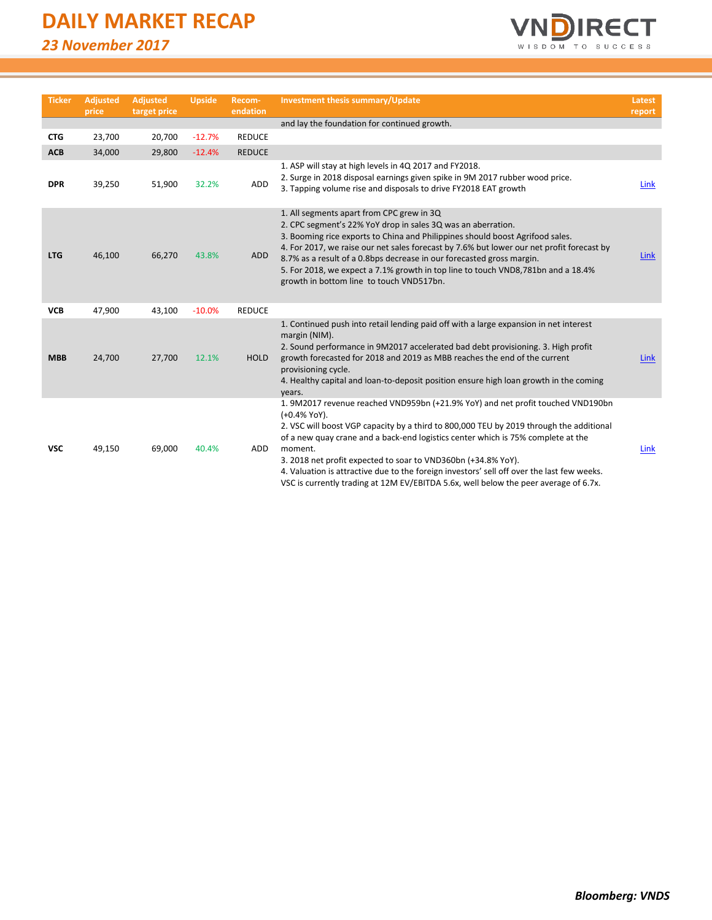# **DAILY MARKET RECAP**

*23 November 2017*



| <b>Ticker</b> | <b>Adjusted</b><br>price | <b>Adjusted</b><br>target price | <b>Upside</b> | Recom-<br>endation | <b>Investment thesis summary/Update</b>                                                                                                                                                                                                                                                                                                                                                                                                                                                                                                          | Latest<br>report |
|---------------|--------------------------|---------------------------------|---------------|--------------------|--------------------------------------------------------------------------------------------------------------------------------------------------------------------------------------------------------------------------------------------------------------------------------------------------------------------------------------------------------------------------------------------------------------------------------------------------------------------------------------------------------------------------------------------------|------------------|
|               |                          |                                 |               |                    | and lay the foundation for continued growth.                                                                                                                                                                                                                                                                                                                                                                                                                                                                                                     |                  |
| <b>CTG</b>    | 23,700                   | 20,700                          | $-12.7%$      | <b>REDUCE</b>      |                                                                                                                                                                                                                                                                                                                                                                                                                                                                                                                                                  |                  |
| <b>ACB</b>    | 34,000                   | 29,800                          | $-12.4%$      | <b>REDUCE</b>      |                                                                                                                                                                                                                                                                                                                                                                                                                                                                                                                                                  |                  |
| <b>DPR</b>    | 39,250                   | 51,900                          | 32.2%         | ADD                | 1. ASP will stay at high levels in 4Q 2017 and FY2018.<br>2. Surge in 2018 disposal earnings given spike in 9M 2017 rubber wood price.<br>3. Tapping volume rise and disposals to drive FY2018 EAT growth                                                                                                                                                                                                                                                                                                                                        | Link             |
| <b>LTG</b>    | 46,100                   | 66,270                          | 43.8%         | ADD                | 1. All segments apart from CPC grew in 3Q<br>2. CPC segment's 22% YoY drop in sales 3Q was an aberration.<br>3. Booming rice exports to China and Philippines should boost Agrifood sales.<br>4. For 2017, we raise our net sales forecast by 7.6% but lower our net profit forecast by<br>8.7% as a result of a 0.8bps decrease in our forecasted gross margin.<br>5. For 2018, we expect a 7.1% growth in top line to touch VND8,781bn and a 18.4%<br>growth in bottom line to touch VND517bn.                                                 | <b>Link</b>      |
| <b>VCB</b>    | 47,900                   | 43,100                          | $-10.0%$      | <b>REDUCE</b>      |                                                                                                                                                                                                                                                                                                                                                                                                                                                                                                                                                  |                  |
| <b>MBB</b>    | 24,700                   | 27,700                          | 12.1%         | <b>HOLD</b>        | 1. Continued push into retail lending paid off with a large expansion in net interest<br>margin (NIM).<br>2. Sound performance in 9M2017 accelerated bad debt provisioning. 3. High profit<br>growth forecasted for 2018 and 2019 as MBB reaches the end of the current<br>provisioning cycle.<br>4. Healthy capital and loan-to-deposit position ensure high loan growth in the coming<br>years.                                                                                                                                                | Link             |
| <b>VSC</b>    | 49,150                   | 69,000                          | 40.4%         | ADD                | 1. 9M2017 revenue reached VND959bn (+21.9% YoY) and net profit touched VND190bn<br>(+0.4% YoY).<br>2. VSC will boost VGP capacity by a third to 800,000 TEU by 2019 through the additional<br>of a new quay crane and a back-end logistics center which is 75% complete at the<br>moment.<br>3. 2018 net profit expected to soar to VND360bn (+34.8% YoY).<br>4. Valuation is attractive due to the foreign investors' sell off over the last few weeks.<br>VSC is currently trading at 12M EV/EBITDA 5.6x, well below the peer average of 6.7x. | <b>Link</b>      |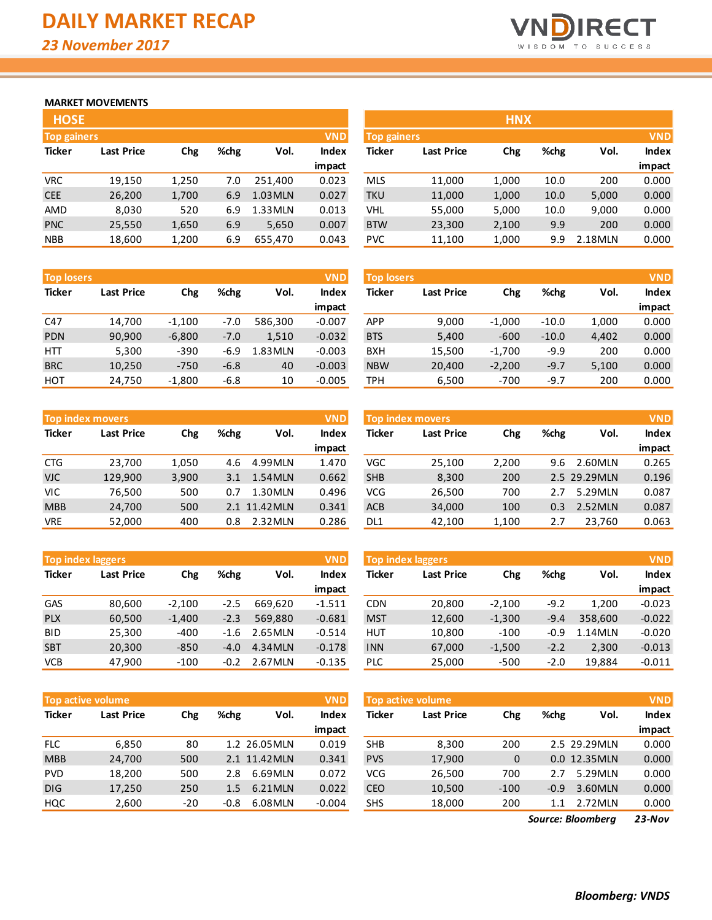

## **MARKET MOVEMENTS**

| <b>HOSE</b>                      |                   |       |      |         |              |  |  |  |
|----------------------------------|-------------------|-------|------|---------|--------------|--|--|--|
| <b>VND</b><br><b>Top gainers</b> |                   |       |      |         |              |  |  |  |
| <b>Ticker</b>                    | <b>Last Price</b> | Chg   | %chg | Vol.    | <b>Index</b> |  |  |  |
|                                  |                   |       |      |         | impact       |  |  |  |
| <b>VRC</b>                       | 19,150            | 1,250 | 7.0  | 251,400 | 0.023        |  |  |  |
| <b>CEE</b>                       | 26,200            | 1,700 | 6.9  | 1.03MLN | 0.027        |  |  |  |
| AMD                              | 8,030             | 520   | 6.9  | 1.33MLN | 0.013        |  |  |  |
| <b>PNC</b>                       | 25,550            | 1,650 | 6.9  | 5,650   | 0.007        |  |  |  |
| <b>NBB</b>                       | 18,600            | 1,200 | 6.9  | 655,470 | 0.043        |  |  |  |

| <b>Top losers</b> |                   |          |        |         | <b>VND</b>   |
|-------------------|-------------------|----------|--------|---------|--------------|
| <b>Ticker</b>     | <b>Last Price</b> | Chg      | %chg   | Vol.    | <b>Index</b> |
|                   |                   |          |        |         | impact       |
| C47               | 14,700            | $-1,100$ | $-7.0$ | 586,300 | $-0.007$     |
| <b>PDN</b>        | 90,900            | $-6,800$ | $-7.0$ | 1,510   | $-0.032$     |
| HTT               | 5,300             | $-390$   | $-6.9$ | 1.83MLN | $-0.003$     |
| <b>BRC</b>        | 10,250            | $-750$   | $-6.8$ | 40      | $-0.003$     |
| HOT               | 24,750            | $-1,800$ | $-6.8$ | 10      | $-0.005$     |

| <b>VND</b><br><b>Top index movers</b> |                   |       |      |              |              |  |  |  |  |
|---------------------------------------|-------------------|-------|------|--------------|--------------|--|--|--|--|
| <b>Ticker</b>                         | <b>Last Price</b> | Chg   | %chg | Vol.         | <b>Index</b> |  |  |  |  |
|                                       |                   |       |      |              | impact       |  |  |  |  |
| <b>CTG</b>                            | 23,700            | 1,050 | 4.6  | 4.99MLN      | 1.470        |  |  |  |  |
| <b>VJC</b>                            | 129,900           | 3,900 | 3.1  | 1.54MLN      | 0.662        |  |  |  |  |
| VIC                                   | 76,500            | 500   | 0.7  | 1.30MLN      | 0.496        |  |  |  |  |
| <b>MBB</b>                            | 24,700            | 500   |      | 2.1 11.42MLN | 0.341        |  |  |  |  |
| VRE                                   | 52,000            | 400   | 0.8  | 2.32MLN      | 0.286        |  |  |  |  |

|               | <b>Top index laggers</b> |          |        |         |              |  |  |  |  |  |
|---------------|--------------------------|----------|--------|---------|--------------|--|--|--|--|--|
| <b>Ticker</b> | <b>Last Price</b>        | Chg      | %chg   | Vol.    | <b>Index</b> |  |  |  |  |  |
|               |                          |          |        |         | impact       |  |  |  |  |  |
| GAS           | 80,600                   | $-2,100$ | $-2.5$ | 669.620 | $-1.511$     |  |  |  |  |  |
| <b>PLX</b>    | 60,500                   | $-1,400$ | $-2.3$ | 569.880 | $-0.681$     |  |  |  |  |  |
| BID           | 25,300                   | $-400$   | $-1.6$ | 2.65MLN | $-0.514$     |  |  |  |  |  |
| <b>SBT</b>    | 20,300                   | $-850$   | $-4.0$ | 4.34MLN | $-0.178$     |  |  |  |  |  |
| VCB           | 47.900                   | $-100$   | $-0.2$ | 2.67MLN | $-0.135$     |  |  |  |  |  |

| <b>Top active volume</b> |                   |       |        |              |              |  |  |  |  |
|--------------------------|-------------------|-------|--------|--------------|--------------|--|--|--|--|
| <b>Ticker</b>            | <b>Last Price</b> | Chg   | %chg   | Vol.         | <b>Index</b> |  |  |  |  |
|                          |                   |       |        |              | impact       |  |  |  |  |
| <b>FLC</b>               | 6,850             | 80    |        | 1.2 26.05MLN | 0.019        |  |  |  |  |
| <b>MBB</b>               | 24,700            | 500   |        | 2.1 11.42MLN | 0.341        |  |  |  |  |
| <b>PVD</b>               | 18,200            | 500   | 2.8    | 6.69MLN      | 0.072        |  |  |  |  |
| <b>DIG</b>               | 17,250            | 250   | 1.5    | 6.21MLN      | 0.022        |  |  |  |  |
| HQC                      | 2,600             | $-20$ | $-0.8$ | 6.08MLN      | $-0.004$     |  |  |  |  |

| <b>HOSE</b>        |                   |       |      |         |              |             |                   | <b>HNX</b> |      |         |              |
|--------------------|-------------------|-------|------|---------|--------------|-------------|-------------------|------------|------|---------|--------------|
| <b>Top gainers</b> |                   |       |      |         | <b>VND</b>   | Top gainers |                   |            |      |         | <b>VND</b>   |
| Ticker             | <b>Last Price</b> | Chg   | %chg | Vol.    | <b>Index</b> | Ticker      | <b>Last Price</b> | Chg        | %chg | Vol.    | <b>Index</b> |
|                    |                   |       |      |         | impact       |             |                   |            |      |         | impact       |
| <b>VRC</b>         | 19,150            | 1,250 | 7.0  | 251.400 | 0.023        | <b>MLS</b>  | 11,000            | 1,000      | 10.0 | 200     | 0.000        |
| <b>CEE</b>         | 26,200            | 1,700 | 6.9  | 1.03MLN | 0.027        | <b>TKU</b>  | 11,000            | 1,000      | 10.0 | 5,000   | 0.000        |
| AMD                | 8,030             | 520   | 6.9  | 1.33MLN | 0.013        | VHL         | 55,000            | 5,000      | 10.0 | 9,000   | 0.000        |
| <b>PNC</b>         | 25,550            | 1,650 | 6.9  | 5,650   | 0.007        | <b>BTW</b>  | 23,300            | 2,100      | 9.9  | 200     | 0.000        |
| <b>NBB</b>         | 18,600            | 1,200 | 6.9  | 655,470 | 0.043        | <b>PVC</b>  | 11,100            | 1,000      | 9.9  | 2.18MLN | 0.000        |

| <b>Top losers</b> |                   |          |        |         | <b>VND</b> | <b>Top losers</b> |                   |          |         |       |        |
|-------------------|-------------------|----------|--------|---------|------------|-------------------|-------------------|----------|---------|-------|--------|
| Ticker            | <b>Last Price</b> | Chg      | %chg   | Vol.    | Index      | <b>Ticker</b>     | <b>Last Price</b> | Chg      | %chg    | Vol.  | Index  |
|                   |                   |          |        |         | impact     |                   |                   |          |         |       | impact |
| C47               | 14,700            | $-1,100$ | $-7.0$ | 586.300 | $-0.007$   | <b>APP</b>        | 9,000             | $-1.000$ | $-10.0$ | 1,000 | 0.000  |
| <b>PDN</b>        | 90,900            | $-6,800$ | $-7.0$ | 1,510   | $-0.032$   | <b>BTS</b>        | 5,400             | $-600$   | $-10.0$ | 4,402 | 0.000  |
| HTT               | 5,300             | $-390$   | -6.9   | 1.83MLN | $-0.003$   | <b>BXH</b>        | 15,500            | $-1.700$ | $-9.9$  | 200   | 0.000  |
| <b>BRC</b>        | 10,250            | $-750$   | $-6.8$ | 40      | $-0.003$   | <b>NBW</b>        | 20,400            | $-2,200$ | $-9.7$  | 5,100 | 0.000  |
| нот               | 24,750            | $-1,800$ | $-6.8$ | 10      | $-0.005$   | TPH               | 6,500             | $-700$   | $-9.7$  | 200   | 0.000  |

|            | <b>Top index movers</b> |       |      |              | <b>VND</b> | <b>Top index movers</b> |                   |       |      |              |              |
|------------|-------------------------|-------|------|--------------|------------|-------------------------|-------------------|-------|------|--------------|--------------|
| Ticker     | <b>Last Price</b>       | Chg   | %chg | Vol.         | Index      | Ticker                  | <b>Last Price</b> | Chg   | %chg | Vol.         | <b>Index</b> |
|            |                         |       |      |              | impact     |                         |                   |       |      |              | impact       |
| CTG        | 23.700                  | 1,050 | 4.6  | 4.99MLN      | 1.470      | VGC                     | 25,100            | 2,200 | 9.6  | 2.60MLN      | 0.265        |
| <b>VJC</b> | 129,900                 | 3,900 | 3.1  | 1.54MLN      | 0.662      | <b>SHB</b>              | 8,300             | 200   |      | 2.5 29.29MLN | 0.196        |
| VIC        | 76,500                  | 500   | 0.7  | 1.30MLN      | 0.496      | <b>VCG</b>              | 26,500            | 700   | 2.7  | 5.29MLN      | 0.087        |
| <b>MBB</b> | 24,700                  | 500   |      | 2.1 11.42MLN | 0.341      | <b>ACB</b>              | 34,000            | 100   | 0.3  | 2.52MLN      | 0.087        |
| <b>VRE</b> | 52,000                  | 400   | 0.8  | 2.32MLN      | 0.286      | DL <sub>1</sub>         | 42,100            | 1,100 | 2.7  | 23,760       | 0.063        |
|            |                         |       |      |              |            |                         |                   |       |      |              |              |

| <b>Top index laggers</b> |                   |            |        |         | <b>VND</b> | <b>Top index laggers</b> |                   |          |        |         |          |
|--------------------------|-------------------|------------|--------|---------|------------|--------------------------|-------------------|----------|--------|---------|----------|
| Ticker                   | <b>Last Price</b> | <b>Chg</b> | %chg   | Vol.    | Index      | Ticker                   | <b>Last Price</b> | Chg      | %chg   | Vol.    | Index    |
|                          |                   |            |        |         | impact     |                          |                   |          |        |         | impact   |
| <b>GAS</b>               | 80.600            | $-2.100$   | $-2.5$ | 669.620 | $-1.511$   | <b>CDN</b>               | 20,800            | $-2.100$ | $-9.2$ | 1.200   | $-0.023$ |
| <b>PLX</b>               | 60,500            | $-1.400$   | $-2.3$ | 569.880 | $-0.681$   | <b>MST</b>               | 12,600            | $-1,300$ | $-9.4$ | 358.600 | $-0.022$ |
| <b>BID</b>               | 25,300            | $-400$     | $-1.6$ | 2.65MLN | $-0.514$   | <b>HUT</b>               | 10,800            | $-100$   | -0.9   | 1.14MLN | $-0.020$ |
| <b>SBT</b>               | 20,300            | $-850$     | $-4.0$ | 4.34MLN | $-0.178$   | <b>INN</b>               | 67,000            | $-1,500$ | $-2.2$ | 2,300   | $-0.013$ |
| VCB                      | 47,900            | $-100$     | $-0.2$ | 2.67MLN | $-0.135$   | PLC                      | 25,000            | $-500$   | $-2.0$ | 19,884  | $-0.011$ |

|            | Top active volume ' |       |        |              | <b>VND</b> |            | Top active volume |        |        |              | <b>VND</b> |
|------------|---------------------|-------|--------|--------------|------------|------------|-------------------|--------|--------|--------------|------------|
| Ticker     | <b>Last Price</b>   | Chg   | %chg   | Vol.         | Index      | Ticker     | <b>Last Price</b> | Chg    | %chg   | Vol.         | Index      |
|            |                     |       |        |              | impact     |            |                   |        |        |              | impact     |
| <b>FLC</b> | 6,850               | 80    |        | 1.2 26.05MLN | 0.019      | <b>SHB</b> | 8,300             | 200    |        | 2.5 29.29MLN | 0.000      |
| <b>MBB</b> | 24,700              | 500   |        | 2.1 11.42MLN | 0.341      | <b>PVS</b> | 17,900            | 0      |        | 0.0 12.35MLN | 0.000      |
| <b>PVD</b> | 18.200              | 500   | 2.8    | 6.69MLN      | 0.072      | <b>VCG</b> | 26,500            | 700    | 2.7    | 5.29MLN      | 0.000      |
| DIG        | 17,250              | 250   | 1.5    | 6.21MLN      | 0.022      | <b>CEO</b> | 10,500            | $-100$ | $-0.9$ | 3.60MLN      | 0.000      |
| HQC        | 2,600               | $-20$ | $-0.8$ | 6.08MLN      | $-0.004$   | <b>SHS</b> | 18,000            | 200    | 1.1    | 2.72MLN      | 0.000      |
|            |                     |       |        |              |            |            |                   |        |        |              |            |

*23-Nov Source: Bloomberg*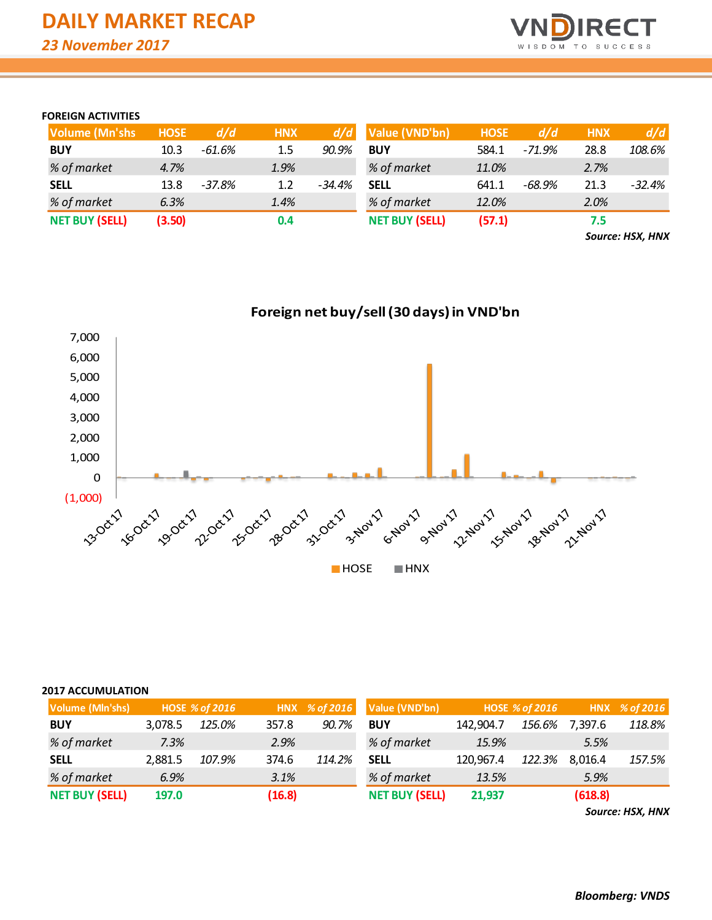

## **FOREIGN ACTIVITIES**

| <b>Volume (Mn'shs)</b> | <b>HOSE</b> | d/d      | <b>HNX</b> | d/d      | Value (VND'bn)        | <b>HOSE</b> | d/d      | <b>HNX</b> | d/d      |
|------------------------|-------------|----------|------------|----------|-----------------------|-------------|----------|------------|----------|
| <b>BUY</b>             | 10.3        | $-61.6%$ | 1.5        | 90.9%    | <b>BUY</b>            | 584.1       | $-71.9%$ | 28.8       | 108.6%   |
| % of market            | 4.7%        |          | 1.9%       |          | % of market           | 11.0%       |          | 2.7%       |          |
| <b>SELL</b>            | 13.8        | $-37.8%$ | 1.2        | $-34.4%$ | <b>SELL</b>           | 641.1       | $-68.9%$ | 21.3       | $-32.4%$ |
| % of market            | 6.3%        |          | 1.4%       |          | % of market           | 12.0%       |          | 2.0%       |          |
| <b>NET BUY (SELL)</b>  | (3.50)      |          | 0.4        |          | <b>NET BUY (SELL)</b> | (57.1)      |          | 7.5        |          |

*Source: HSX, HNX*



| <b>2017 ACCUMULATION</b> |         |                       |        |               |                       |           |                       |         |               |
|--------------------------|---------|-----------------------|--------|---------------|-----------------------|-----------|-----------------------|---------|---------------|
| Volume (MIn'shs)         |         | <b>HOSE % of 2016</b> |        | HNX % of 2016 | Value (VND'bn)        |           | <b>HOSE % of 2016</b> |         | HNX % of 2016 |
| <b>BUY</b>               | 3.078.5 | 125.0%                | 357.8  | 90.7%         | <b>BUY</b>            | 142,904.7 | 156.6%                | 7,397.6 | 118.8%        |
| % of market              | 7.3%    |                       | 2.9%   |               | % of market           | 15.9%     |                       | 5.5%    |               |
| <b>SELL</b>              | 2,881.5 | 107.9%                | 374.6  | 114.2%        | <b>SELL</b>           | 120,967.4 | 122.3%                | 8,016.4 | 157.5%        |
| % of market              | 6.9%    |                       | 3.1%   |               | % of market           | 13.5%     |                       | 5.9%    |               |
| <b>NET BUY (SELL)</b>    | 197.0   |                       | (16.8) |               | <b>NET BUY (SELL)</b> | 21,937    |                       | (618.8) |               |

*Source: HSX, HNX*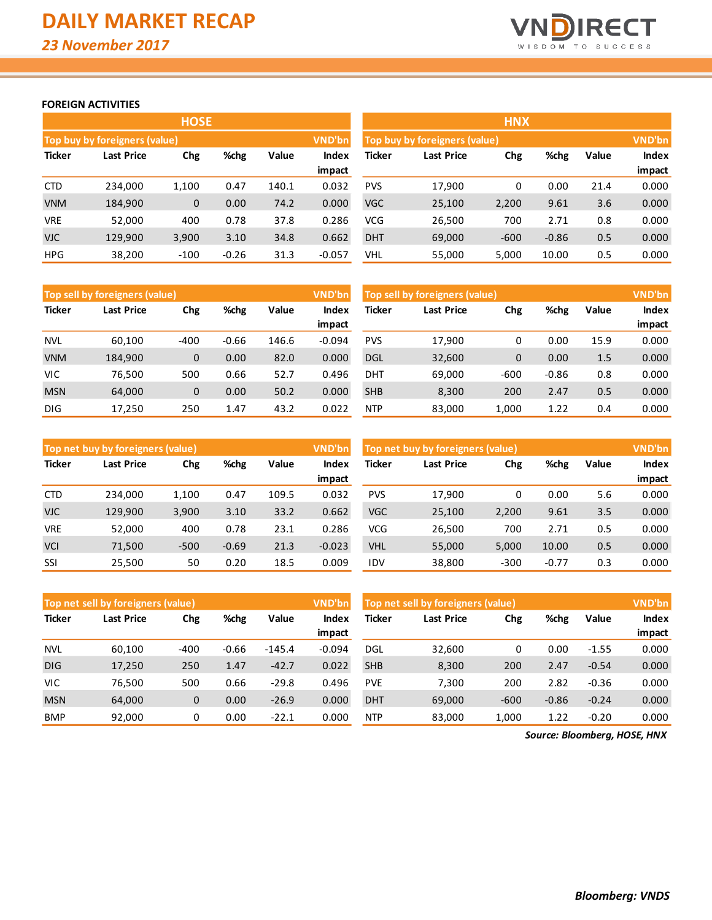

## **FOREIGN ACTIVITIES**

|               |                                      | <b>HOSE</b> |         |       |               | <b>HNX</b>                    |                   |        |         |       |               |
|---------------|--------------------------------------|-------------|---------|-------|---------------|-------------------------------|-------------------|--------|---------|-------|---------------|
|               | <b>Top buy by foreigners (value)</b> |             |         |       | <b>VND'bn</b> | Top buy by foreigners (value) |                   |        |         |       | <b>VND'bn</b> |
| <b>Ticker</b> | <b>Last Price</b>                    | Chg         | %chg    | Value | Index         | Ticker                        | <b>Last Price</b> | Chg    | %chg    | Value | Index         |
|               |                                      |             |         |       | impact        |                               |                   |        |         |       | impact        |
| CTD           | 234.000                              | 1,100       | 0.47    | 140.1 | 0.032         | <b>PVS</b>                    | 17,900            | 0      | 0.00    | 21.4  | 0.000         |
| <b>VNM</b>    | 184,900                              | 0           | 0.00    | 74.2  | 0.000         | <b>VGC</b>                    | 25,100            | 2,200  | 9.61    | 3.6   | 0.000         |
| <b>VRE</b>    | 52,000                               | 400         | 0.78    | 37.8  | 0.286         | VCG                           | 26,500            | 700    | 2.71    | 0.8   | 0.000         |
| VJC.          | 129,900                              | 3,900       | 3.10    | 34.8  | 0.662         | <b>DHT</b>                    | 69,000            | $-600$ | $-0.86$ | 0.5   | 0.000         |
| <b>HPG</b>    | 38,200                               | $-100$      | $-0.26$ | 31.3  | $-0.057$      | VHL                           | 55,000            | 5,000  | 10.00   | 0.5   | 0.000         |

|               | <b>HNX</b>                    |        |         |       |               |  |  |  |  |  |  |  |  |
|---------------|-------------------------------|--------|---------|-------|---------------|--|--|--|--|--|--|--|--|
|               | Top buy by foreigners (value) |        |         |       | <b>VND'bn</b> |  |  |  |  |  |  |  |  |
| <b>Ticker</b> | <b>Last Price</b>             | Chg    | %chg    | Value | Index         |  |  |  |  |  |  |  |  |
|               |                               |        |         |       | impact        |  |  |  |  |  |  |  |  |
| <b>PVS</b>    | 17,900                        | 0      | 0.00    | 21.4  | 0.000         |  |  |  |  |  |  |  |  |
| <b>VGC</b>    | 25,100                        | 2,200  | 9.61    | 3.6   | 0.000         |  |  |  |  |  |  |  |  |
| <b>VCG</b>    | 26,500                        | 700    | 2.71    | 0.8   | 0.000         |  |  |  |  |  |  |  |  |
| <b>DHT</b>    | 69,000                        | $-600$ | $-0.86$ | 0.5   | 0.000         |  |  |  |  |  |  |  |  |
| VHL           | 55,000                        | 5,000  | 10.00   | 0.5   | 0.000         |  |  |  |  |  |  |  |  |

|               | Top sell by foreigners (value) |              |         |       | VND'bn   | Top sell by foreigners (value) |                   |        |         | <b>VND'bn</b> |              |
|---------------|--------------------------------|--------------|---------|-------|----------|--------------------------------|-------------------|--------|---------|---------------|--------------|
| <b>Ticker</b> | Last Price                     | Chg          | %chg    | Value | Index    | Ticker                         | <b>Last Price</b> | Chg    | %chg    | Value         | <b>Index</b> |
|               |                                |              |         |       | impact   |                                |                   |        |         |               | impact       |
| <b>NVL</b>    | 60,100                         | $-400$       | $-0.66$ | 146.6 | $-0.094$ | <b>PVS</b>                     | 17,900            | 0      | 0.00    | 15.9          | 0.000        |
| <b>VNM</b>    | 184,900                        | $\mathbf{0}$ | 0.00    | 82.0  | 0.000    | <b>DGL</b>                     | 32,600            | 0      | 0.00    | 1.5           | 0.000        |
| <b>VIC</b>    | 76,500                         | 500          | 0.66    | 52.7  | 0.496    | DHT                            | 69,000            | $-600$ | $-0.86$ | 0.8           | 0.000        |
| <b>MSN</b>    | 64,000                         | $\mathbf{0}$ | 0.00    | 50.2  | 0.000    | <b>SHB</b>                     | 8,300             | 200    | 2.47    | 0.5           | 0.000        |
| <b>DIG</b>    | 17,250                         | 250          | 1.47    | 43.2  | 0.022    | <b>NTP</b>                     | 83,000            | 1,000  | 1.22    | 0.4           | 0.000        |

|               | Top net buy by foreigners (value) |        |         |       | VND'bn   | Top net buy by foreigners (value) |                   |        |         |       | <b>VND'bn</b> |
|---------------|-----------------------------------|--------|---------|-------|----------|-----------------------------------|-------------------|--------|---------|-------|---------------|
| <b>Ticker</b> | <b>Last Price</b>                 | Chg    | %chg    | Value | Index    | <b>Ticker</b>                     | <b>Last Price</b> | Chg    | %chg    | Value | <b>Index</b>  |
|               |                                   |        |         |       | impact   |                                   |                   |        |         |       | impact        |
| <b>CTD</b>    | 234,000                           | 1,100  | 0.47    | 109.5 | 0.032    | <b>PVS</b>                        | 17,900            | 0      | 0.00    | 5.6   | 0.000         |
| <b>VJC</b>    | 129,900                           | 3,900  | 3.10    | 33.2  | 0.662    | VGC                               | 25,100            | 2,200  | 9.61    | 3.5   | 0.000         |
| <b>VRE</b>    | 52,000                            | 400    | 0.78    | 23.1  | 0.286    | VCG                               | 26,500            | 700    | 2.71    | 0.5   | 0.000         |
| <b>VCI</b>    | 71,500                            | $-500$ | $-0.69$ | 21.3  | $-0.023$ | <b>VHL</b>                        | 55,000            | 5,000  | 10.00   | 0.5   | 0.000         |
| SSI           | 25,500                            | 50     | 0.20    | 18.5  | 0.009    | IDV                               | 38,800            | $-300$ | $-0.77$ | 0.3   | 0.000         |

|               | Top net sell by foreigners (value) |              |         |          | VND'bn   | Top net sell by foreigners (value) |                   |        |         | <b>VND'bn</b> |              |
|---------------|------------------------------------|--------------|---------|----------|----------|------------------------------------|-------------------|--------|---------|---------------|--------------|
| <b>Ticker</b> | Last Price                         | Chg          | %chg    | Value    | Index    | <b>Ticker</b>                      | <b>Last Price</b> | Chg    | %chg    | Value         | <b>Index</b> |
|               |                                    |              |         |          | impact   |                                    |                   |        |         |               | impact       |
| <b>NVL</b>    | 60,100                             | $-400$       | $-0.66$ | $-145.4$ | $-0.094$ | <b>DGL</b>                         | 32,600            | 0      | 0.00    | $-1.55$       | 0.000        |
| <b>DIG</b>    | 17,250                             | 250          | 1.47    | $-42.7$  | 0.022    | <b>SHB</b>                         | 8,300             | 200    | 2.47    | $-0.54$       | 0.000        |
| <b>VIC</b>    | 76,500                             | 500          | 0.66    | $-29.8$  | 0.496    | <b>PVE</b>                         | 7.300             | 200    | 2.82    | $-0.36$       | 0.000        |
| <b>MSN</b>    | 64,000                             | $\mathbf{0}$ | 0.00    | $-26.9$  | 0.000    | <b>DHT</b>                         | 69,000            | $-600$ | $-0.86$ | $-0.24$       | 0.000        |
| <b>BMP</b>    | 92,000                             | 0            | 0.00    | $-22.1$  | 0.000    | <b>NTP</b>                         | 83,000            | 1,000  | 1.22    | $-0.20$       | 0.000        |

*Source: Bloomberg, HOSE, HNX*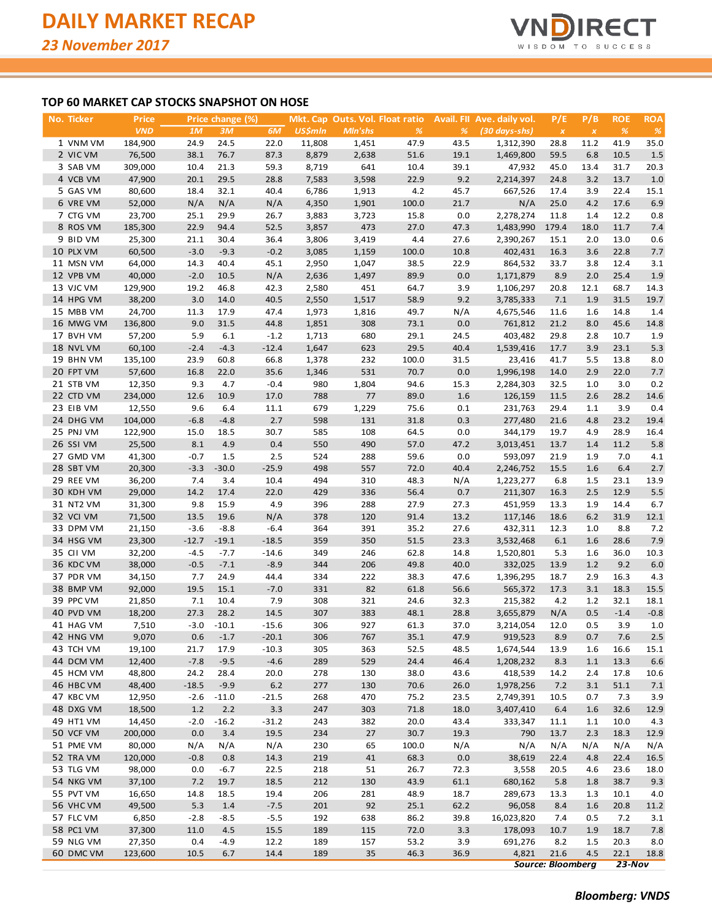

## **TOP 60 MARKET CAP STOCKS SNAPSHOT ON HOSE**

| No. Ticker             | <b>Price</b>      |             | Price change (%) |             |                |            | Mkt. Cap Outs. Vol. Float ratio |            | Avail. Fll Ave. daily vol. | P/E                | P/B                | <b>ROE</b>   | <b>ROA</b>  |
|------------------------|-------------------|-------------|------------------|-------------|----------------|------------|---------------------------------|------------|----------------------------|--------------------|--------------------|--------------|-------------|
|                        | <b>VND</b>        | 1M          | 3M               | 6M          | <b>US\$mln</b> | Mln'shs    | $\%$                            | %          | (30 days-shs)              | $\pmb{\mathsf{x}}$ | $\pmb{\mathsf{x}}$ | $\%$         | %           |
| 1 VNM VM               | 184,900           | 24.9        | 24.5             | 22.0        | 11,808         | 1,451      | 47.9                            | 43.5       | 1,312,390                  | 28.8               | 11.2               | 41.9         | 35.0        |
| 2 VIC VM               | 76,500            | 38.1        | 76.7             | 87.3        | 8,879          | 2,638      | 51.6                            | 19.1       | 1,469,800                  | 59.5               | 6.8                | 10.5         | 1.5         |
| 3 SAB VM               | 309,000           | 10.4        | 21.3             | 59.3        | 8,719          | 641        | 10.4                            | 39.1       | 47,932                     | 45.0               | 13.4               | 31.7         | 20.3        |
| 4 VCB VM               | 47,900            | 20.1        | 29.5             | 28.8        | 7,583          | 3,598      | 22.9                            | 9.2        | 2,214,397                  | 24.8               | 3.2                | 13.7         | 1.0         |
| 5 GAS VM               | 80,600            | 18.4        | 32.1             | 40.4        | 6,786          | 1,913      | 4.2                             | 45.7       | 667,526                    | 17.4               | 3.9                | 22.4         | 15.1        |
| 6 VRE VM               | 52,000            | N/A         | N/A              | N/A         | 4,350          | 1,901      | 100.0                           | 21.7       | N/A                        | 25.0               | 4.2                | 17.6         | 6.9         |
| 7 CTG VM               | 23,700            | 25.1        | 29.9             | 26.7        | 3,883          | 3,723      | 15.8                            | 0.0        | 2,278,274                  | 11.8               | 1.4                | 12.2         | 0.8         |
| 8 ROS VM               | 185,300           | 22.9        | 94.4             | 52.5        | 3,857          | 473        | 27.0                            | 47.3       | 1,483,990                  | 179.4              | 18.0               | 11.7         | 7.4         |
| 9 BID VM               | 25,300            | 21.1        | 30.4             | 36.4        | 3,806          | 3,419      | 4.4                             | 27.6       | 2,390,267                  | 15.1               | 2.0                | 13.0         | 0.6         |
| 10 PLX VM              | 60,500            | $-3.0$      | $-9.3$           | $-0.2$      | 3,085          | 1,159      | 100.0                           | 10.8       | 402,431                    | 16.3               | 3.6                | 22.8         | 7.7         |
| 11 MSN VM              | 64,000            | 14.3        | 40.4             | 45.1        | 2,950          | 1,047      | 38.5                            | 22.9       | 864,532                    | 33.7               | 3.8                | 12.4         | 3.1         |
| 12 VPB VM              | 40,000            | $-2.0$      | 10.5             | N/A         | 2,636          | 1,497      | 89.9                            | 0.0        | 1,171,879                  | 8.9                | 2.0                | 25.4         | 1.9         |
| 13 VJC VM              | 129,900           | 19.2        | 46.8             | 42.3        | 2,580          | 451        | 64.7                            | 3.9        | 1,106,297                  | 20.8               | 12.1               | 68.7         | 14.3        |
| 14 HPG VM              | 38,200            | 3.0         | 14.0             | 40.5        | 2,550          | 1,517      | 58.9                            | 9.2        | 3,785,333                  | 7.1                | 1.9                | 31.5         | 19.7        |
| 15 MBB VM              | 24,700            | 11.3        | 17.9             | 47.4        | 1,973          | 1,816      | 49.7                            | N/A        | 4,675,546                  | 11.6               | 1.6                | 14.8         | 1.4         |
| 16 MWG VM              | 136,800           | 9.0         | 31.5             | 44.8        | 1,851          | 308        | 73.1                            | 0.0        | 761,812                    | 21.2               | 8.0                | 45.6         | 14.8        |
| 17 BVH VM              | 57,200            | 5.9         | 6.1              | $-1.2$      | 1,713          | 680        | 29.1                            | 24.5       | 403,482                    | 29.8               | 2.8                | 10.7         | 1.9         |
| 18 NVL VM              | 60,100            | $-2.4$      | $-4.3$           | $-12.4$     | 1,647          | 623        | 29.5                            | 40.4       | 1,539,416                  | 17.7               | 3.9                | 23.1         | 5.3         |
| 19 BHN VM              | 135,100           | 23.9        | 60.8             | 66.8        | 1,378          | 232        | 100.0                           | 31.5       | 23,416                     | 41.7               | 5.5                | 13.8         | 8.0         |
| 20 FPT VM              | 57,600            | 16.8        | 22.0             | 35.6        | 1,346          | 531        | 70.7                            | 0.0        | 1,996,198                  | 14.0               | 2.9                | 22.0         | 7.7         |
| 21 STB VM              | 12,350            | 9.3         | 4.7              | $-0.4$      | 980            | 1,804      | 94.6                            | 15.3       | 2,284,303                  | 32.5               | 1.0                | 3.0          | 0.2         |
| 22 CTD VM              | 234,000           | 12.6        | 10.9             | 17.0        | 788            | 77         | 89.0                            | 1.6        | 126,159                    | 11.5               | 2.6                | 28.2         | 14.6        |
| 23 EIB VM              | 12,550            | 9.6         | 6.4              | 11.1        | 679            | 1,229      | 75.6                            | 0.1        | 231,763                    | 29.4               | 1.1                | 3.9          | 0.4         |
| 24 DHG VM              | 104,000           | $-6.8$      | $-4.8$           | 2.7         | 598            | 131        | 31.8                            | 0.3        | 277,480                    | 21.6               | 4.8                | 23.2         | 19.4        |
| 25 PNJ VM              | 122,900           | 15.0        | 18.5             | 30.7        | 585            | 108        | 64.5                            | 0.0        | 344,179                    | 19.7               | 4.9                | 28.9         | 16.4        |
| 26 SSI VM              | 25,500            | 8.1         | 4.9              | 0.4         | 550            | 490        | 57.0                            | 47.2       | 3,013,451                  | 13.7               | 1.4                | 11.2         | 5.8         |
| 27 GMD VM              | 41,300            | $-0.7$      | 1.5              | 2.5         | 524            | 288        | 59.6                            | 0.0        | 593,097                    | 21.9               | 1.9                | 7.0          | 4.1         |
| 28 SBT VM              | 20,300            | $-3.3$      | $-30.0$          | $-25.9$     | 498            | 557        | 72.0                            | 40.4       | 2,246,752                  | 15.5               | 1.6                | 6.4          | 2.7         |
| 29 REE VM              | 36,200            | 7.4         | 3.4              | 10.4        | 494<br>429     | 310<br>336 | 48.3                            | N/A<br>0.7 | 1,223,277                  | 6.8                | 1.5                | 23.1<br>12.9 | 13.9<br>5.5 |
| 30 KDH VM<br>31 NT2 VM | 29,000<br>31,300  | 14.2<br>9.8 | 17.4<br>15.9     | 22.0<br>4.9 | 396            | 288        | 56.4<br>27.9                    | 27.3       | 211,307<br>451,959         | 16.3<br>13.3       | 2.5<br>1.9         | 14.4         | 6.7         |
| 32 VCI VM              | 71,500            | 13.5        | 19.6             | N/A         | 378            | 120        | 91.4                            | 13.2       | 117,146                    | 18.6               | 6.2                | 31.9         | 12.1        |
| 33 DPM VM              | 21,150            | $-3.6$      | $-8.8$           | $-6.4$      | 364            | 391        | 35.2                            | 27.6       | 432,311                    | 12.3               | 1.0                | 8.8          | 7.2         |
| 34 HSG VM              | 23,300            | $-12.7$     | $-19.1$          | $-18.5$     | 359            | 350        | 51.5                            | 23.3       | 3,532,468                  | 6.1                | 1.6                | 28.6         | 7.9         |
| 35 CII VM              | 32,200            | $-4.5$      | $-7.7$           | $-14.6$     | 349            | 246        | 62.8                            | 14.8       | 1,520,801                  | 5.3                | 1.6                | 36.0         | 10.3        |
| 36 KDC VM              | 38,000            | $-0.5$      | $-7.1$           | $-8.9$      | 344            | 206        | 49.8                            | 40.0       | 332,025                    | 13.9               | 1.2                | 9.2          | 6.0         |
| 37 PDR VM              | 34,150            | 7.7         | 24.9             | 44.4        | 334            | 222        | 38.3                            | 47.6       | 1,396,295                  | 18.7               | 2.9                | 16.3         | 4.3         |
| 38 BMP VM              | 92,000            | 19.5        | 15.1             | $-7.0$      | 331            | 82         | 61.8                            | 56.6       | 565,372                    | 17.3               | 3.1                | 18.3         | 15.5        |
| 39 PPC VM              | 21,850            | 7.1         | 10.4             | 7.9         | 308            | 321        | 24.6                            | 32.3       | 215,382                    | 4.2                | 1.2                | 32.1         | 18.1        |
| 40 PVD VM              | 18,200            | 27.3        | 28.2             | 14.5        | 307            | 383        | 48.1                            | 28.8       | 3,655,879                  | N/A                | 0.5                | $-1.4$       | $-0.8$      |
| 41 HAG VM              | 7,510             | $-3.0$      | $-10.1$          | $-15.6$     | 306            | 927        | 61.3                            | 37.0       | 3,214,054                  | 12.0               | 0.5                | 3.9          | 1.0         |
| 42 HNG VM              | 9,070             | 0.6         | $-1.7$           | $-20.1$     | 306            | 767        | 35.1                            | 47.9       | 919,523                    | 8.9                | 0.7                | 7.6          | 2.5         |
| 43 TCH VM              | 19,100            | 21.7        | 17.9             | $-10.3$     | 305            | 363        | 52.5                            | 48.5       | 1,674,544                  | 13.9               | 1.6                | 16.6         | 15.1        |
| 44 DCM VM              | 12,400            | $-7.8$      | $-9.5$           | $-4.6$      | 289            | 529        | 24.4                            | 46.4       | 1,208,232                  | 8.3                | 1.1                | 13.3         | 6.6         |
| 45 HCM VM              | 48,800            | 24.2        | 28.4             | 20.0        | 278            | 130        | 38.0                            | 43.6       | 418,539                    | 14.2               | 2.4                | 17.8         | 10.6        |
| 46 HBC VM              | 48,400            | $-18.5$     | $-9.9$           | $6.2$       | 277            | 130        | 70.6                            | 26.0       | 1,978,256                  | 7.2                | 3.1                | 51.1         | 7.1         |
| 47 KBC VM              | 12,950            | $-2.6$      | $-11.0$          | $-21.5$     | 268            | 470        | 75.2                            | 23.5       | 2,749,391                  | 10.5               | 0.7                | 7.3          | 3.9         |
| 48 DXG VM              | 18,500            | $1.2$       | 2.2              | 3.3         | 247            | 303        | 71.8                            | 18.0       | 3,407,410                  | 6.4                | 1.6                | 32.6         | 12.9        |
| 49 HT1 VM              | 14,450            | $-2.0$      | $-16.2$          | $-31.2$     | 243            | 382        | 20.0                            | 43.4       | 333,347                    | 11.1               | 1.1                | 10.0         | 4.3         |
| 50 VCF VM              | 200,000           | 0.0         | 3.4              | 19.5        | 234            | 27         | 30.7                            | 19.3       | 790                        | 13.7               | 2.3                | 18.3         | 12.9        |
| 51 PME VM              | 80,000            | N/A         | N/A              | N/A         | 230            | 65         | 100.0                           | N/A        | N/A                        | N/A                | N/A                | N/A          | N/A         |
| 52 TRA VM              | 120,000           | $-0.8$      | 0.8              | 14.3        | 219            | 41         | 68.3                            | 0.0        | 38,619                     | 22.4               | 4.8                | 22.4         | 16.5        |
| 53 TLG VM              | 98,000            | 0.0         | $-6.7$           | 22.5        | 218            | 51         | 26.7                            | 72.3       | 3,558                      | 20.5               | 4.6                | 23.6         | 18.0        |
| 54 NKG VM              | 37,100            | 7.2         | 19.7             | 18.5        | 212            | 130        | 43.9                            | 61.1       | 680,162                    | 5.8                | 1.8                | 38.7         | 9.3         |
| 55 PVT VM              | 16,650            | 14.8        | 18.5             | 19.4        | 206            | 281        | 48.9                            | 18.7       | 289,673                    | 13.3               | 1.3                | 10.1         | 4.0         |
| 56 VHC VM              | 49,500            | 5.3         | 1.4              | $-7.5$      | 201            | 92         | 25.1                            | 62.2       | 96,058                     | 8.4                | 1.6                | 20.8         | 11.2        |
| 57 FLC VM              | 6,850             | $-2.8$      | $-8.5$           | $-5.5$      | 192            | 638        | 86.2                            | 39.8       | 16,023,820                 | 7.4                | 0.5                | 7.2          | 3.1         |
| 58 PC1 VM              | 37,300            | 11.0        | 4.5              | 15.5        | 189            | 115        | 72.0                            | 3.3        | 178,093                    | 10.7               | 1.9                | 18.7         | 7.8         |
| 59 NLG VM              | 27,350            | 0.4         | $-4.9$           | 12.2        | 189            | 157        | 53.2                            | 3.9        | 691,276                    | 8.2                | 1.5                | 20.3         | 8.0         |
| 60 DMC VM              | 123,600           | 10.5        | 6.7              | 14.4        | 189            | 35         | 46.3                            | 36.9       | 4,821                      | 21.6               | 4.5                | 22.1         | 18.8        |
|                        | Source: Bloomberg |             |                  |             |                |            |                                 |            |                            |                    |                    | $23-Nov$     |             |